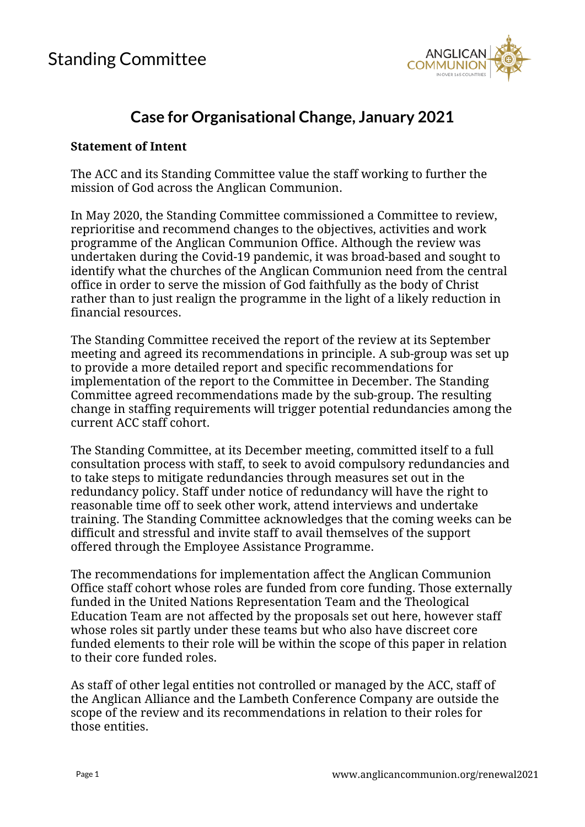

## **Case for Organisational Change, January 2021**

## **Statement of Intent**

The ACC and its Standing Committee value the staff working to further the mission of God across the Anglican Communion.

In May 2020, the Standing Committee commissioned a Committee to review, reprioritise and recommend changes to the objectives, activities and work programme of the Anglican Communion Office. Although the review was undertaken during the Covid-19 pandemic, it was broad-based and sought to identify what the churches of the Anglican Communion need from the central office in order to serve the mission of God faithfully as the body of Christ rather than to just realign the programme in the light of a likely reduction in financial resources.

The Standing Committee received the report of the review at its September meeting and agreed its recommendations in principle. A sub-group was set up to provide a more detailed report and specific recommendations for implementation of the report to the Committee in December. The Standing Committee agreed recommendations made by the sub-group. The resulting change in staffing requirements will trigger potential redundancies among the current ACC staff cohort.

The Standing Committee, at its December meeting, committed itself to a full consultation process with staff, to seek to avoid compulsory redundancies and to take steps to mitigate redundancies through measures set out in the redundancy policy. Staff under notice of redundancy will have the right to reasonable time off to seek other work, attend interviews and undertake training. The Standing Committee acknowledges that the coming weeks can be difficult and stressful and invite staff to avail themselves of the support offered through the Employee Assistance Programme.

The recommendations for implementation affect the Anglican Communion Office staff cohort whose roles are funded from core funding. Those externally funded in the United Nations Representation Team and the Theological Education Team are not affected by the proposals set out here, however staff whose roles sit partly under these teams but who also have discreet core funded elements to their role will be within the scope of this paper in relation to their core funded roles.

As staff of other legal entities not controlled or managed by the ACC, staff of the Anglican Alliance and the Lambeth Conference Company are outside the scope of the review and its recommendations in relation to their roles for those entities.